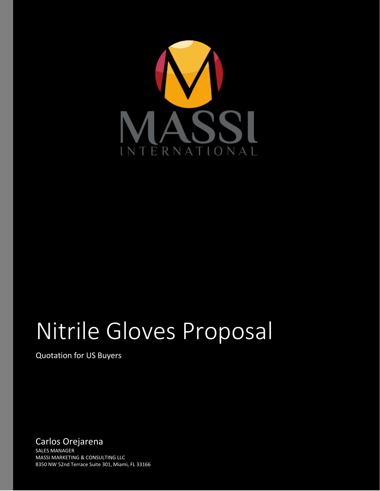

# Nitrile Gloves Proposal

Quotation for US Buyers

Carlos Orejarena SALES MANAGER MASSI MARKETING & CONSULTING LLC 8350 NW 52nd Terrace Suite 301, Miami, FL 33166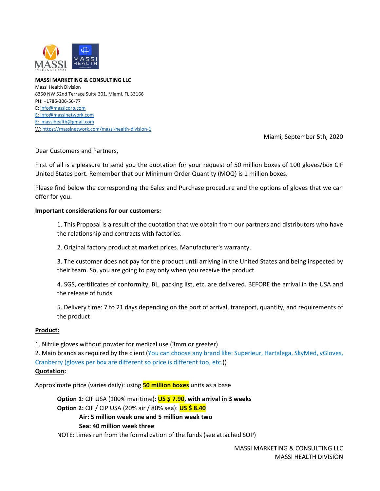

**MASSI MARKETING & CONSULTING LLC** Massi Health Division 8350 NW 52nd Terrace Suite 301, Miami, FL 33166 PH: +1786-306-56-77 E[: info@massicorp.com](mailto:info@massicorp.com) E: info@massinetwork.com E: massihealth@gmail.com W[: https://massinetwork.com/massi-health-division-1](https://massinetwork.com/massi-health-division-1)

Miami, September 5th, 2020

Dear Customers and Partners,

First of all is a pleasure to send you the quotation for your request of 50 million boxes of 100 gloves/box CIF United States port. Remember that our Minimum Order Quantity (MOQ) is 1 million boxes.

Please find below the corresponding the Sales and Purchase procedure and the options of gloves that we can offer for you.

#### **Important considerations for our customers:**

1. This Proposal is a result of the quotation that we obtain from our partners and distributors who have the relationship and contracts with factories.

2. Original factory product at market prices. Manufacturer's warranty.

3. The customer does not pay for the product until arriving in the United States and being inspected by their team. So, you are going to pay only when you receive the product.

4. SGS, certificates of conformity, BL, packing list, etc. are delivered. BEFORE the arrival in the USA and the release of funds

5. Delivery time: 7 to 21 days depending on the port of arrival, transport, quantity, and requirements of the product

#### **Product:**

1. Nitrile gloves without powder for medical use (3mm or greater)

2. Main brands as required by the client (You can choose any brand like: Superieur, Hartalega, SkyMed, vGloves, Cranberry (gloves per box are different so price is different too, etc.))

#### **Quotation:**

Approximate price (varies daily): using **50 million boxes** units as a base

**Option 1:** CIF USA (100% maritime): **US \$ 7.90, with arrival in 3 weeks Option 2:** CIF / CIP USA (20% air / 80% sea): **US \$ 8.40 Air: 5 million week one and 5 million week two**

#### **Sea: 40 million week three**

NOTE: times run from the formalization of the funds (see attached SOP)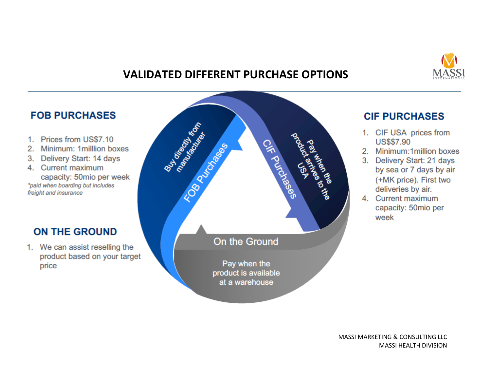

## **VALIDATED DIFFERENT PURCHASE OPTIONS**

## **FOB PURCHASES**

- 1. Prices from US\$7.10
- 2. Minimum: 1 million boxes
- 3. Delivery Start: 14 days
- 4. Current maximum capacity: 50mio per week \*paid when boarding but includes freight and insurance

## **ON THE GROUND**

1. We can assist reselling the product based on your target price



## **CIF PURCHASES**

- 1. CIF USA prices from **US\$\$7.90**
- 2. Minimum:1million boxes
- 3. Delivery Start: 21 days by sea or 7 days by air (+MK price). First two deliveries by air.
- 4. Current maximum capacity: 50mio per week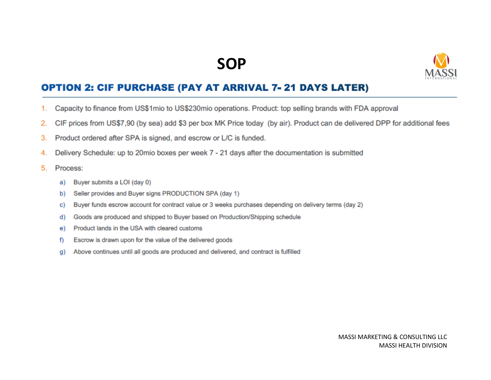## **SOP**



### **OPTION 2: CIF PURCHASE (PAY AT ARRIVAL 7-21 DAYS LATER)**

- Capacity to finance from US\$1mio to US\$230mio operations. Product: top selling brands with FDA approval 1.
- CIF prices from US\$7,90 (by sea) add \$3 per box MK Price today (by air). Product can de delivered DPP for additional fees 2.
- Product ordered after SPA is signed, and escrow or L/C is funded. 3.
- Delivery Schedule: up to 20mio boxes per week 7 21 days after the documentation is submitted 4.
- 5. Process:
	- Buyer submits a LOI (day 0) a)
	- Seller provides and Buyer signs PRODUCTION SPA (day 1) b)
	- Buyer funds escrow account for contract value or 3 weeks purchases depending on delivery terms (day 2) C)
	- Goods are produced and shipped to Buyer based on Production/Shipping schedule d)
	- Product lands in the USA with cleared customs e)
	- Escrow is drawn upon for the value of the delivered goods f)
	- Above continues until all goods are produced and delivered, and contract is fulfilled g)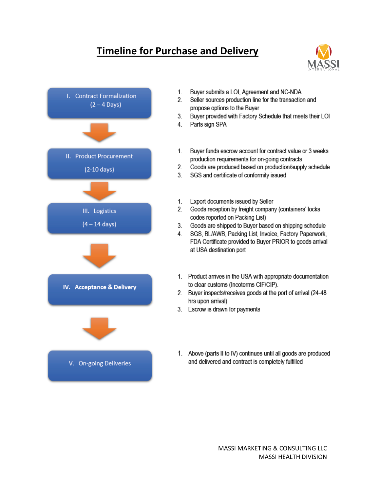## **Timeline for Purchase and Delivery**





- Buyer submits a LOI, Agreement and NC-NDA  $1<sup>1</sup>$
- 2. Seller sources production line for the transaction and propose options to the Buyer
- $3<sub>1</sub>$ Buyer provided with Factory Schedule that meets their LOI
- Parts sign SPA  $4<sup>1</sup>$
- $1.$ Buyer funds escrow account for contract value or 3 weeks production requirements for on-going contracts
- $2.$ Goods are produced based on production/supply schedule
- SGS and certificate of conformity issued 3
- Export documents issued by Seller  $1<sub>1</sub>$
- 2. Goods reception by freight company (containers' locks codes reported on Packing List)
- $3<sub>1</sub>$ Goods are shipped to Buyer based on shipping schedule
- SGS, BL/AWB, Packing List, Invoice, Factory Paperwork, 4. FDA Certificate provided to Buyer PRIOR to goods arrival at USA destination port
- 1. Product arrives in the USA with appropriate documentation to clear customs (Incoterms CIF/CIP).
- 2. Buyer inspects/receives goods at the port of arrival (24-48 hrs upon arrival)
- 3. Escrow is drawn for payments
- 1. Above (parts II to IV) continues until all goods are produced and delivered and contract is completely fulfilled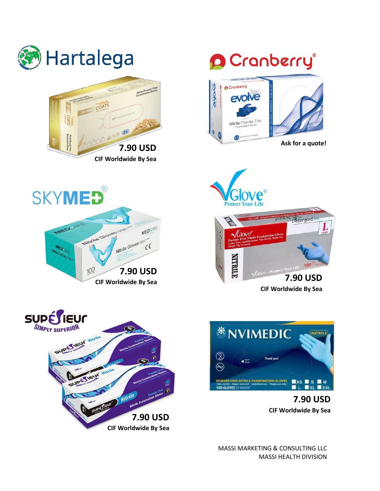

MASSI MARKETING & CONSULTING LLC MASSI HEALTH DIVISION